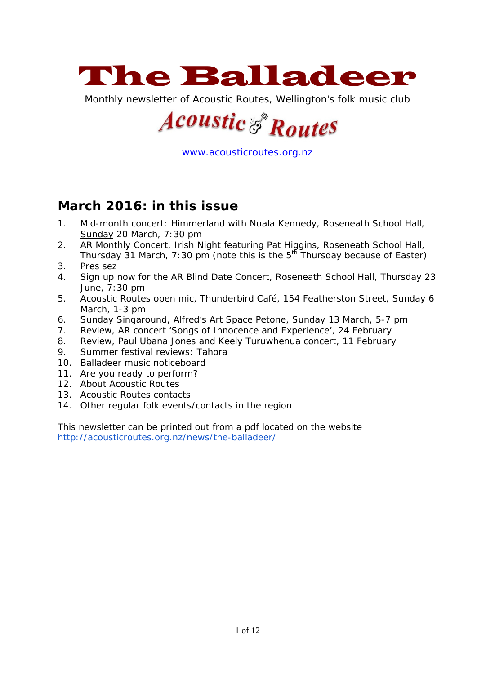

Monthly newsletter of Acoustic Routes, Wellington's folk music club

# **Acoustic & Routes**

[www.acousticroutes.org.nz](http://www.acousticroutes.org.nz/)

## **March 2016: in this issue**

- 1. Mid-month concert: Himmerland with Nuala Kennedy, Roseneath School Hall, Sunday 20 March, 7:30 pm
- 2. AR Monthly Concert, Irish Night featuring Pat Higgins, Roseneath School Hall, Thursday 31 March, 7:30 pm (note this is the  $5^{th}$  Thursday because of Easter)
- 3. Pres sez
- 4. Sign up now for the AR Blind Date Concert, Roseneath School Hall, Thursday 23 June, 7:30 pm
- 5. Acoustic Routes open mic, Thunderbird Café, 154 Featherston Street, Sunday 6 March, 1-3 pm
- 6. Sunday Singaround, Alfred's Art Space Petone, Sunday 13 March, 5-7 pm
- 7. Review, AR concert 'Songs of Innocence and Experience', 24 February
- 8. Review, Paul Ubana Jones and Keely Turuwhenua concert, 11 February
- 9. Summer festival reviews: Tahora
- 10. Balladeer music noticeboard
- 11. Are you ready to perform?
- 12. About Acoustic Routes
- 13. Acoustic Routes contacts
- 14. Other regular folk events/contacts in the region

This newsletter can be printed out from a pdf located on the website <http://acousticroutes.org.nz/news/the-balladeer/>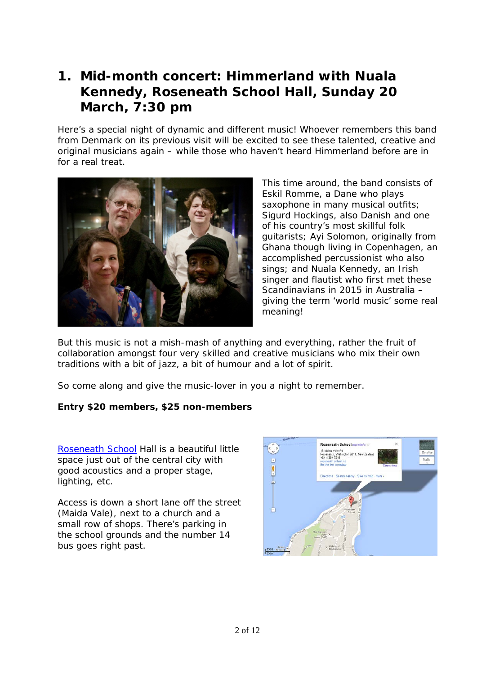# **1. Mid-month concert: Himmerland with Nuala Kennedy, Roseneath School Hall, Sunday 20 March, 7:30 pm**

Here's a special night of dynamic and different music! Whoever remembers this band from Denmark on its previous visit will be excited to see these talented, creative and original musicians again – while those who haven't heard Himmerland before are in for a real treat.



This time around, the band consists of Eskil Romme, a Dane who plays saxophone in many musical outfits; Sigurd Hockings, also Danish and one of his country's most skillful folk guitarists; Ayi Solomon, originally from Ghana though living in Copenhagen, an accomplished percussionist who also sings; and Nuala Kennedy, an Irish singer and flautist who first met these Scandinavians in 2015 in Australia – giving the term 'world music' some real meaning!

But this music is not a mish-mash of anything and everything, rather the fruit of collaboration amongst four very skilled and creative musicians who mix their own traditions with a bit of jazz, a bit of humour and a lot of spirit.

So come along and give the music-lover in you a night to remember.

#### **Entry \$20 members, \$25 non-members**

[Roseneath School](https://maps.google.com/maps?q=Roseneath+School,+Maida+Vale+Road,+Wellington,+New+Zealand&hl=en&ll=-41.286546,174.803081&spn=0.009094,0.01708&sll=-40.799894,175.310128&sspn=37.337214,69.960938&oq=roseneath+school&hq=Roseneath+School,&hnear=Maida+Vale+Rd,+R) Hall is a beautiful little space just out of the central city with good acoustics and a proper stage, lighting, etc.

Access is down a short lane off the street (Maida Vale), next to a church and a small row of shops. There's parking in the school grounds and the number 14 bus goes right past.

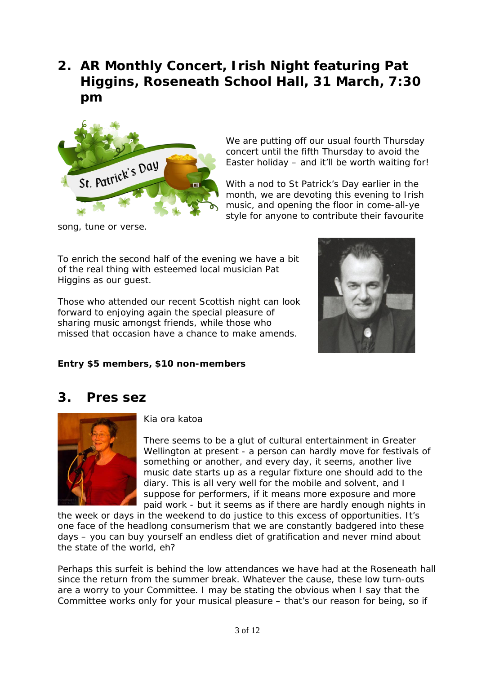# **2. AR Monthly Concert, Irish Night featuring Pat Higgins, Roseneath School Hall, 31 March, 7:30 pm**



We are putting off our usual fourth Thursday concert until the fifth Thursday to avoid the Easter holiday – and it'll be worth waiting for!

With a nod to St Patrick's Day earlier in the month, we are devoting this evening to Irish music, and opening the floor in come-all-ye style for anyone to contribute their favourite

song, tune or verse.

To enrich the second half of the evening we have a bit of the real thing with esteemed local musician Pat Higgins as our guest.

Those who attended our recent Scottish night can look forward to enjoying again the special pleasure of sharing music amongst friends, while those who missed that occasion have a chance to make amends.



#### **Entry \$5 members, \$10 non-members**

### **3. Pres sez**



Kia ora katoa

There seems to be a glut of cultural entertainment in Greater Wellington at present - a person can hardly move for festivals of something or another, and every day, it seems, another live music date starts up as a regular fixture one should add to the diary. This is all very well for the mobile and solvent, and I suppose for performers, if it means more exposure and more paid work - but it seems as if there are hardly enough nights in

the week or days in the weekend to do justice to this excess of opportunities. It's one face of the headlong consumerism that we are constantly badgered into these days – you can buy yourself an endless diet of gratification and never mind about the state of the world, eh?

Perhaps this surfeit is behind the low attendances we have had at the Roseneath hall since the return from the summer break. Whatever the cause, these low turn-outs are a worry to your Committee. I may be stating the obvious when I say that the Committee works only for your musical pleasure – that's our reason for being, so if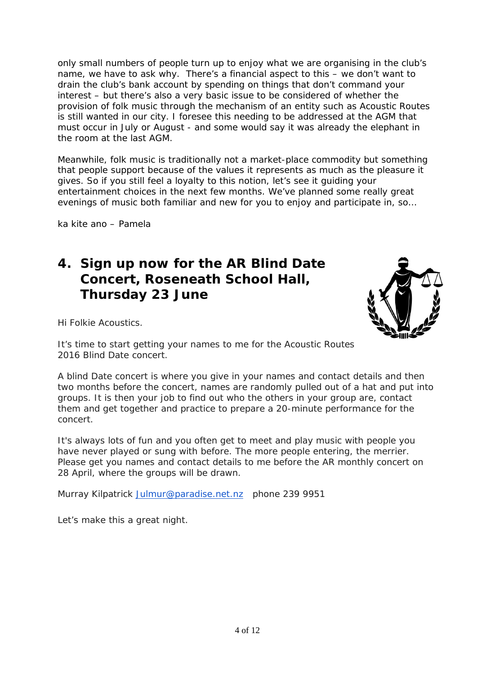only small numbers of people turn up to enjoy what we are organising in the club's name, we have to ask why. There's a financial aspect to this – we don't want to drain the club's bank account by spending on things that don't command your interest – but there's also a very basic issue to be considered of whether the provision of folk music through the mechanism of an entity such as Acoustic Routes is still wanted in our city. I foresee this needing to be addressed at the AGM that must occur in July or August - and some would say it was already the elephant in the room at the last AGM.

Meanwhile, folk music is traditionally not a market-place commodity but something that people support because of the values it represents as much as the pleasure it gives. So if you still feel a loyalty to this notion, let's see it guiding your entertainment choices in the next few months. We've planned some really great evenings of music both familiar and new for you to enjoy and participate in, so…

ka kite ano – Pamela

## **4. Sign up now for the AR Blind Date Concert, Roseneath School Hall, Thursday 23 June**



Hi Folkie Acoustics.

It's time to start getting your names to me for the Acoustic Routes 2016 Blind Date concert.

A blind Date concert is where you give in your names and contact details and then two months before the concert, names are randomly pulled out of a hat and put into groups. It is then your job to find out who the others in your group are, contact them and get together and practice to prepare a 20-minute performance for the concert.

It's always lots of fun and you often get to meet and play music with people you have never played or sung with before. The more people entering, the merrier. Please get you names and contact details to me before the AR monthly concert on 28 April, where the groups will be drawn.

Murray Kilpatrick [Julmur@paradise.net.nz](mailto:Julmur@paradise.net.nz) phone 239 9951

Let's make this a great night.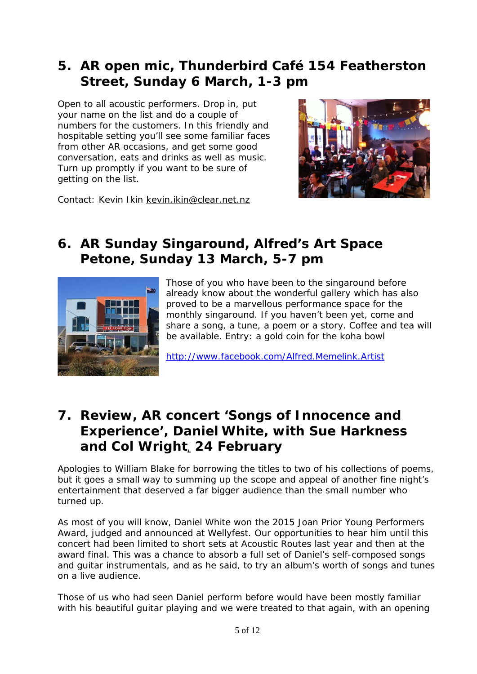# **5. AR open mic, Thunderbird Café 154 Featherston Street, Sunday 6 March, 1-3 pm**

Open to all acoustic performers. Drop in, put your name on the list and do a couple of numbers for the customers. In this friendly and hospitable setting you'll see some familiar faces from other AR occasions, and get some good conversation, eats and drinks as well as music. Turn up promptly if you want to be sure of getting on the list.



Contact: Kevin Ikin [kevin.ikin@clear.net.nz](mailto:kevin.ikin@clear.net.nz)

# **6. AR Sunday Singaround, Alfred's Art Space Petone, Sunday 13 March, 5-7 pm**



Those of you who have been to the singaround before already know about the wonderful gallery which has also proved to be a marvellous performance space for the monthly singaround. If you haven't been yet, come and share a song, a tune, a poem or a story. Coffee and tea will be available. Entry: a gold coin for the koha bowl

<http://www.facebook.com/Alfred.Memelink.Artist>

## **7. Review, AR concert 'Songs of Innocence and Experience', Daniel White, with Sue Harkness and Col Wright**, **24 February**

Apologies to William Blake for borrowing the titles to two of his collections of poems, but it goes a small way to summing up the scope and appeal of another fine night's entertainment that deserved a far bigger audience than the small number who turned up.

As most of you will know, Daniel White won the 2015 Joan Prior Young Performers Award, judged and announced at Wellyfest. Our opportunities to hear him until this concert had been limited to short sets at Acoustic Routes last year and then at the award final. This was a chance to absorb a full set of Daniel's self-composed songs and guitar instrumentals, and as he said, to try an album's worth of songs and tunes on a live audience.

Those of us who had seen Daniel perform before would have been mostly familiar with his beautiful guitar playing and we were treated to that again, with an opening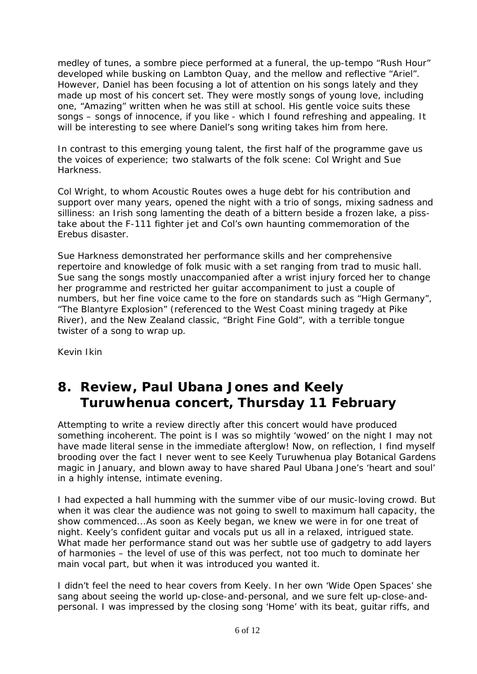medley of tunes, a sombre piece performed at a funeral, the up-tempo "Rush Hour" developed while busking on Lambton Quay, and the mellow and reflective "Ariel". However, Daniel has been focusing a lot of attention on his songs lately and they made up most of his concert set. They were mostly songs of young love, including one, "Amazing" written when he was still at school. His gentle voice suits these songs – songs of innocence, if you like - which I found refreshing and appealing. It will be interesting to see where Daniel's song writing takes him from here.

In contrast to this emerging young talent, the first half of the programme gave us the voices of experience; two stalwarts of the folk scene: Col Wright and Sue Harkness.

Col Wright, to whom Acoustic Routes owes a huge debt for his contribution and support over many years, opened the night with a trio of songs, mixing sadness and silliness: an Irish song lamenting the death of a bittern beside a frozen lake, a pisstake about the F-111 fighter jet and Col's own haunting commemoration of the Erebus disaster.

Sue Harkness demonstrated her performance skills and her comprehensive repertoire and knowledge of folk music with a set ranging from trad to music hall. Sue sang the songs mostly unaccompanied after a wrist injury forced her to change her programme and restricted her guitar accompaniment to just a couple of numbers, but her fine voice came to the fore on standards such as "High Germany", "The Blantyre Explosion" (referenced to the West Coast mining tragedy at Pike River), and the New Zealand classic, "Bright Fine Gold", with a terrible tongue twister of a song to wrap up.

Kevin Ikin

# **8. Review, Paul Ubana Jones and Keely Turuwhenua concert, Thursday 11 February**

Attempting to write a review directly after this concert would have produced something incoherent. The point is I was so mightily 'wowed' on the night I may not have made literal sense in the immediate afterglow! Now, on reflection, I find myself brooding over the fact I never went to see Keely Turuwhenua play Botanical Gardens magic in January, and blown away to have shared Paul Ubana Jone's 'heart and soul' in a highly intense, intimate evening.

I had expected a hall humming with the summer vibe of our music-loving crowd. But when it was clear the audience was not going to swell to maximum hall capacity, the show commenced...As soon as Keely began, we knew we were in for one treat of night. Keely's confident guitar and vocals put us all in a relaxed, intrigued state. What made her performance stand out was her subtle use of gadgetry to add layers of harmonies – the level of use of this was perfect, not too much to dominate her main vocal part, but when it was introduced you wanted it.

I didn't feel the need to hear covers from Keely. In her own 'Wide Open Spaces' she sang about seeing the world up-close-and-personal, and we sure felt up-close-andpersonal. I was impressed by the closing song 'Home' with its beat, guitar riffs, and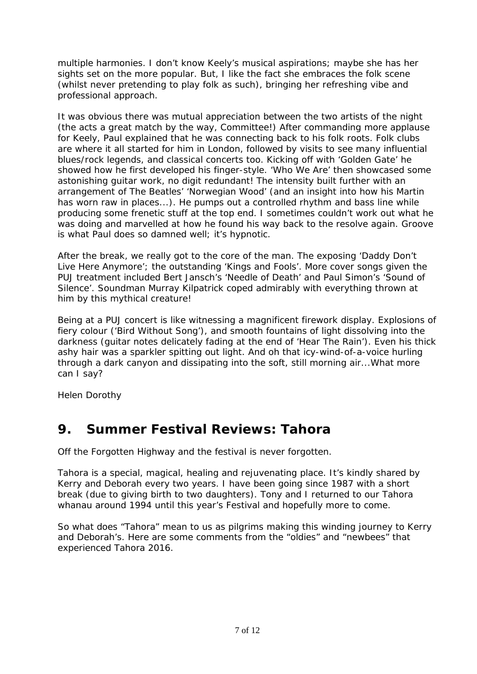multiple harmonies. I don't know Keely's musical aspirations; maybe she has her sights set on the more popular. But, I like the fact she embraces the folk scene (whilst never pretending to play folk as such), bringing her refreshing vibe and professional approach.

It was obvious there was mutual appreciation between the two artists of the night (the acts a great match by the way, Committee!) After commanding more applause for Keely, Paul explained that he was connecting back to his folk roots. Folk clubs are where it all started for him in London, followed by visits to see many influential blues/rock legends, and classical concerts too. Kicking off with 'Golden Gate' he showed how he first developed his finger-style. 'Who We Are' then showcased some astonishing guitar work, no digit redundant! The intensity built further with an arrangement of The Beatles' 'Norwegian Wood' (and an insight into how his Martin has worn raw in places...). He pumps out a controlled rhythm and bass line while producing some frenetic stuff at the top end. I sometimes couldn't work out what he was doing and marvelled at how he found his way back to the resolve again. Groove is what Paul does so damned well; it's hypnotic.

After the break, we really got to the core of the man. The exposing 'Daddy Don't Live Here Anymore'; the outstanding 'Kings and Fools'. More cover songs given the PUJ treatment included Bert Jansch's 'Needle of Death' and Paul Simon's 'Sound of Silence'. Soundman Murray Kilpatrick coped admirably with everything thrown at him by this mythical creature!

Being at a PUJ concert is like witnessing a magnificent firework display. Explosions of fiery colour ('Bird Without Song'), and smooth fountains of light dissolving into the darkness (guitar notes delicately fading at the end of 'Hear The Rain'). Even his thick ashy hair was a sparkler spitting out light. And oh that icy-wind-of-a-voice hurling through a dark canyon and dissipating into the soft, still morning air...What more can I say?

Helen Dorothy

## **9. Summer Festival Reviews: Tahora**

Off the Forgotten Highway and the festival is never forgotten.

Tahora is a special, magical, healing and rejuvenating place. It's kindly shared by Kerry and Deborah every two years. I have been going since 1987 with a short break (due to giving birth to two daughters). Tony and I returned to our Tahora whanau around 1994 until this year's Festival and hopefully more to come.

So what does "Tahora" mean to us as pilgrims making this winding journey to Kerry and Deborah's. Here are some comments from the "oldies" and "newbees" that experienced Tahora 2016.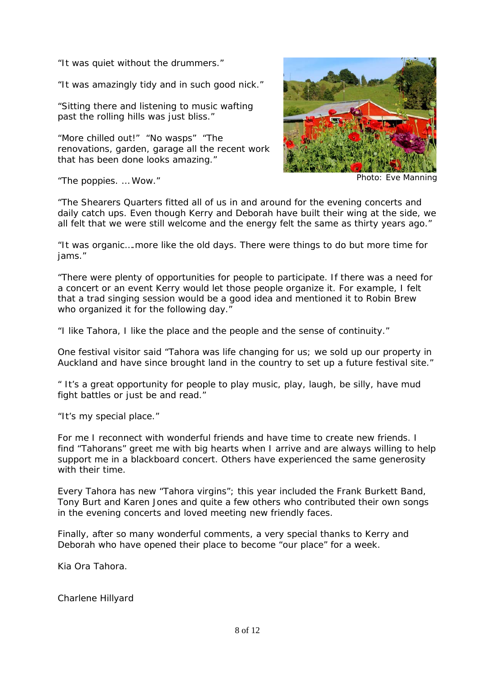"It was quiet without the drummers."

"It was amazingly tidy and in such good nick."

"Sitting there and listening to music wafting past the rolling hills was just bliss."

"More chilled out!" "No wasps" "The renovations, garden, garage all the recent work that has been done looks amazing."



"The poppies. ... Wow." Photo: Eve Manning

"The Shearers Quarters fitted all of us in and around for the evening concerts and daily catch ups. Even though Kerry and Deborah have built their wing at the side, we all felt that we were still welcome and the energy felt the same as thirty years ago."

"It was organic….more like the old days. There were things to do but more time for jams."

"There were plenty of opportunities for people to participate. If there was a need for a concert or an event Kerry would let those people organize it. For example, I felt that a trad singing session would be a good idea and mentioned it to Robin Brew who organized it for the following day."

"I like Tahora, I like the place and the people and the sense of continuity."

One festival visitor said "Tahora was life changing for us; we sold up our property in Auckland and have since brought land in the country to set up a future festival site."

" It's a great opportunity for people to play music, play, laugh, be silly, have mud fight battles or just be and read."

"It's my special place."

For me I reconnect with wonderful friends and have time to create new friends. I find "Tahorans" greet me with big hearts when I arrive and are always willing to help support me in a blackboard concert. Others have experienced the same generosity with their time.

Every Tahora has new "Tahora virgins"; this year included the Frank Burkett Band, Tony Burt and Karen Jones and quite a few others who contributed their own songs in the evening concerts and loved meeting new friendly faces.

Finally, after so many wonderful comments, a very special thanks to Kerry and Deborah who have opened their place to become "our place" for a week.

Kia Ora Tahora.

Charlene Hillyard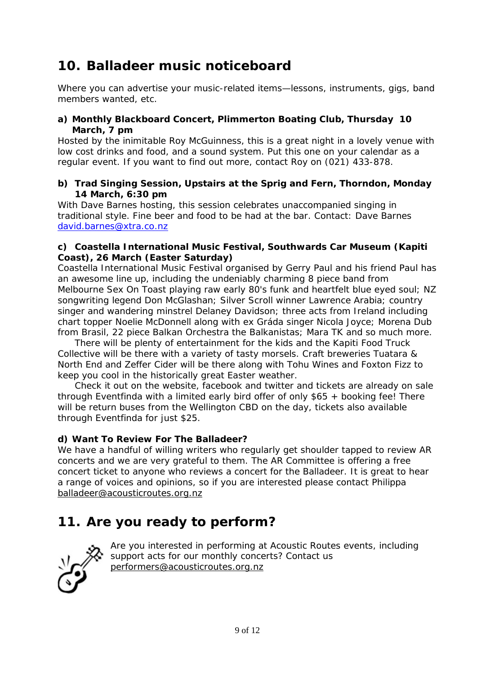# **10. Balladeer music noticeboard**

Where you can advertise your music-related items—lessons, instruments, gigs, band members wanted, etc.

#### **a) Monthly Blackboard Concert, Plimmerton Boating Club, Thursday 10 March, 7 pm**

Hosted by the inimitable Roy McGuinness, this is a great night in a lovely venue with low cost drinks and food, and a sound system. Put this one on your calendar as a regular event. If you want to find out more, contact Roy on (021) 433-878.

#### **b) Trad Singing Session, Upstairs at the Sprig and Fern, Thorndon, Monday 14 March, 6:30 pm**

With Dave Barnes hosting, this session celebrates unaccompanied singing in traditional style. Fine beer and food to be had at the bar. Contact: Dave Barnes [david.barnes@xtra.co.nz](mailto:david.barnes@xtra.co.nz)

#### **c) Coastella International Music Festival, Southwards Car Museum (Kapiti Coast), 26 March (Easter Saturday)**

Coastella International Music Festival organised by Gerry Paul and his friend Paul has an awesome line up, including the undeniably charming 8 piece band from Melbourne Sex On Toast playing raw early 80's funk and heartfelt blue eyed soul; NZ songwriting legend Don McGlashan; Silver Scroll winner Lawrence Arabia; country singer and wandering minstrel Delaney Davidson; three acts from Ireland including chart topper Noelie McDonnell along with ex Gráda singer Nicola Joyce; Morena Dub from Brasil, 22 piece Balkan Orchestra the Balkanistas; Mara TK and so much more.

There will be plenty of entertainment for the kids and the Kapiti Food Truck Collective will be there with a variety of tasty morsels. Craft breweries Tuatara & North End and Zeffer Cider will be there along with Tohu Wines and Foxton Fizz to keep you cool in the historically great Easter weather.

Check it out on the website, facebook and twitter and tickets are already on sale through Eventfinda with a limited early bird offer of only \$65 + booking fee! There will be return buses from the Wellington CBD on the day, tickets also available through Eventfinda for just \$25.

#### **d) Want To Review For The Balladeer?**

We have a handful of willing writers who regularly get shoulder tapped to review AR concerts and we are very grateful to them. The AR Committee is offering a free concert ticket to anyone who reviews a concert for the Balladeer. It is great to hear a range of voices and opinions, so if you are interested please contact Philippa [balladeer@acousticroutes.org.nz](mailto:balladeer@acousticroutes.org.nz)

# **11. Are you ready to perform?**



Are you interested in performing at Acoustic Routes events, including support acts for our monthly concerts? Contact us [performers@acousticroutes.org.nz](mailto:performers@acousticroutes.org.nz)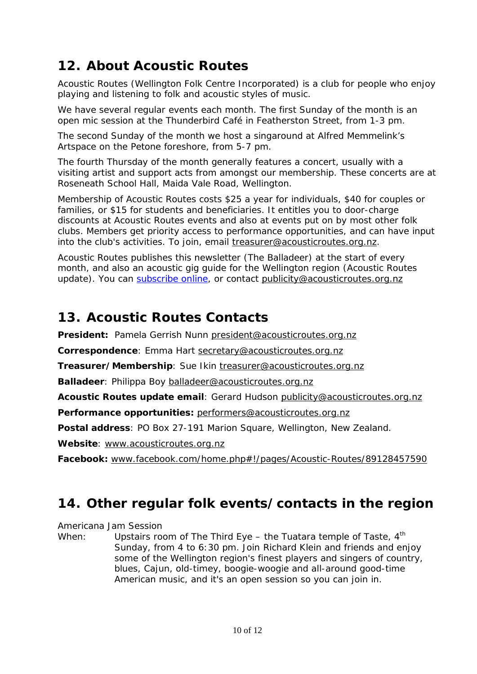# **12. About Acoustic Routes**

Acoustic Routes (Wellington Folk Centre Incorporated) is a club for people who enjoy playing and listening to folk and acoustic styles of music.

We have several regular events each month. The first Sunday of the month is an open mic session at the Thunderbird Café in Featherston Street, from 1-3 pm.

The second Sunday of the month we host a singaround at Alfred Memmelink's Artspace on the Petone foreshore, from 5-7 pm.

The fourth Thursday of the month generally features a concert, usually with a visiting artist and support acts from amongst our membership. These concerts are at Roseneath School Hall, Maida Vale Road, Wellington.

Membership of Acoustic Routes costs \$25 a year for individuals, \$40 for couples or families, or \$15 for students and beneficiaries. It entitles you to door-charge discounts at Acoustic Routes events and also at events put on by most other folk clubs. Members get priority access to performance opportunities, and can have input into the club's activities. To join, email [treasurer@acousticroutes.org.nz.](mailto:treasurer@acousticroutes.org.nz)

Acoustic Routes publishes this newsletter (The Balladeer) at the start of every month, and also an acoustic gig guide for the Wellington region (Acoustic Routes update). You can [subscribe online,](http://eepurl.com/mP90b) or contact [publicity@acousticroutes.org.nz](mailto:publicity@acousticroutes.org.nz)

## **13. Acoustic Routes Contacts**

**President:** Pamela Gerrish Nunn [president@acousticroutes.org.nz](mailto:president@acousticroutes.org.nz)

**Correspondence**: Emma Hart [secretary@acousticroutes.org.nz](mailto:secretary@acousticroutes.org.nz)

**Treasurer/Membership**: Sue Ikin [treasurer@acousticroutes.org.nz](mailto:treasurer@acousticroutes.org.nz)

**Balladeer**: Philippa Boy [balladeer@acousticroutes.org.nz](mailto:balladeer@acousticroutes.org.nz)

**Acoustic Routes update email**: Gerard Hudson [publicity@acousticroutes.org.nz](mailto:publicity@acousticroutes.org.nz)

**Performance opportunities:** [performers@acousticroutes.org.nz](mailto:performers@acousticroutes.org.nz)

**Postal address**: PO Box 27-191 Marion Square, Wellington, New Zealand.

**Website**: [www.acousticroutes.org.nz](http://www.acousticroutes.org.nz/)

**Facebook:** [www.facebook.com/home.php#!/pages/Acoustic-Routes/89128457590](http://www.facebook.com/home.php#!/pages/Acoustic-Routes/89128457590)

## **14. Other regular folk events/contacts in the region**

Americana Jam Session

When: Upstairs room of The Third Eye – the Tuatara temple of Taste,  $4<sup>th</sup>$ Sunday, from 4 to 6:30 pm. Join Richard Klein and friends and enjoy some of the Wellington region's finest players and singers of country, blues, Cajun, old-timey, boogie-woogie and all-around good-time American music, and it's an open session so you can join in.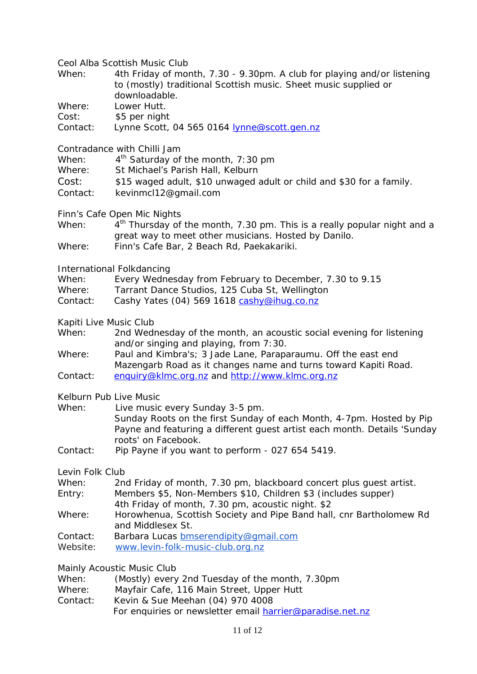Ceol Alba Scottish Music Club

| When: | 4th Friday of month, 7.30 - 9.30pm. A club for playing and/or listening |
|-------|-------------------------------------------------------------------------|
|       | to (mostly) traditional Scottish music. Sheet music supplied or         |
|       | downloadable.                                                           |

Where: Lower Hutt.

Cost: \$5 per night

Contact: Lynne Scott, 04 565 0164 [lynne@scott.gen.nz](mailto:lynne@scott.gen.nz)

Contradance with Chilli Jam

| 4 <sup>th</sup> Saturday of the month, 7:30 pm<br>When: |
|---------------------------------------------------------|
|---------------------------------------------------------|

- Where: St Michael's Parish Hall, Kelburn
- Cost: \$15 waged adult, \$10 unwaged adult or child and \$30 for a family.
- Contact: kevinmcl12@gmail.com
- Finn's Cafe Open Mic Nights
- When:  $4<sup>th</sup>$  Thursday of the month, 7.30 pm. This is a really popular night and a great way to meet other musicians. Hosted by Danilo. Where: Finn's Cafe Bar, 2 Beach Rd, Paekakariki.

International Folkdancing

| When: | Every Wednesday from February to December, 7.30 to 9.15 |  |  |
|-------|---------------------------------------------------------|--|--|
|       |                                                         |  |  |

- Where: Tarrant Dance Studios, 125 Cuba St, Wellington
- Contact: Cashy Yates (04) 569 1618 [cashy@ihug.co.nz](mailto:cashy@ihug.co.nz)

Kapiti Live Music Club

- When: 2nd Wednesday of the month, an acoustic social evening for listening and/or singing and playing, from 7:30.
- Where: Paul and Kimbra's; 3 Jade Lane, Paraparaumu. Off the east end Mazengarb Road as it changes name and turns toward Kapiti Road. Contact: [enquiry@klmc.org.nz](mailto:enquiry@klmc.org.nz) and [http://www.klmc.org.nz](http://www.klmc.org.nz/)

Kelburn Pub Live Music

| When: | Live music every Sunday 3-5 pm.                                          |
|-------|--------------------------------------------------------------------------|
|       | Sunday Roots on the first Sunday of each Month, 4-7pm. Hosted by Pip     |
|       | Payne and featuring a different quest artist each month. Details 'Sunday |
|       | roots' on Facebook.                                                      |

Contact: Pip Payne if you want to perform - 027 654 5419.

Levin Folk Club

- When: 2nd Friday of month, 7.30 pm, blackboard concert plus guest artist.
- Entry: Members \$5, Non-Members \$10, Children \$3 (includes supper) 4th Friday of month, 7.30 pm, acoustic night. \$2
- Where: Horowhenua, Scottish Society and Pipe Band hall, cnr Bartholomew Rd and Middlesex St.
- Contact: Barbara Lucas [bmserendipity@gmail.com](mailto:bmserendipity@gmail.com)
- Website: [www.levin-folk-music-club.org.nz](http://www.levin-folk-music-club.org.nz/)

Mainly Acoustic Music Club

| When: |  | (Mostly) every 2nd Tuesday of the month, 7.30pm |  |  |  |  |
|-------|--|-------------------------------------------------|--|--|--|--|
|-------|--|-------------------------------------------------|--|--|--|--|

- Where: Mayfair Cafe, 116 Main Street, Upper Hutt
- Contact: Kevin & Sue Meehan (04) 970 4008
	- For enquiries or newsletter email [harrier@paradise.net.nz](mailto:harrier@paradise.net.nz)